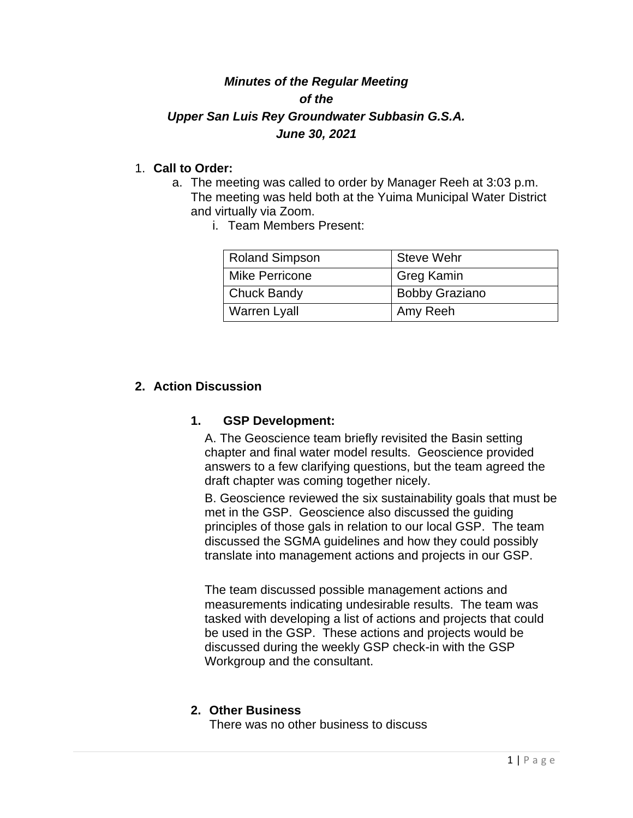# *Minutes of the Regular Meeting of the Upper San Luis Rey Groundwater Subbasin G.S.A. June 30, 2021*

## 1. **Call to Order:**

- a. The meeting was called to order by Manager Reeh at 3:03 p.m. The meeting was held both at the Yuima Municipal Water District and virtually via Zoom.
	- i. Team Members Present:

| <b>Roland Simpson</b> | <b>Steve Wehr</b>     |
|-----------------------|-----------------------|
| <b>Mike Perricone</b> | <b>Greg Kamin</b>     |
| Chuck Bandy           | <b>Bobby Graziano</b> |
| <b>Warren Lyall</b>   | Amy Reeh              |

### **2. Action Discussion**

#### **1. GSP Development:**

A. The Geoscience team briefly revisited the Basin setting chapter and final water model results. Geoscience provided answers to a few clarifying questions, but the team agreed the draft chapter was coming together nicely.

B. Geoscience reviewed the six sustainability goals that must be met in the GSP. Geoscience also discussed the guiding principles of those gals in relation to our local GSP. The team discussed the SGMA guidelines and how they could possibly translate into management actions and projects in our GSP.

The team discussed possible management actions and measurements indicating undesirable results. The team was tasked with developing a list of actions and projects that could be used in the GSP. These actions and projects would be discussed during the weekly GSP check-in with the GSP Workgroup and the consultant.

#### **2. Other Business**

There was no other business to discuss